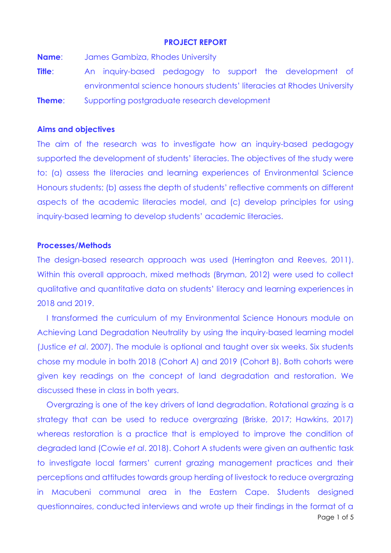## **PROJECT REPORT**

**Name**: James Gambiza, Rhodes University

**Title**: An inquiry-based pedagogy to support the development of environmental science honours students' literacies at Rhodes University **Theme:** Supporting postgraduate research development

# **Aims and objectives**

The aim of the research was to investigate how an inquiry-based pedagogy supported the development of students' literacies. The objectives of the study were to: (a) assess the literacies and learning experiences of Environmental Science Honours students; (b) assess the depth of students' reflective comments on different aspects of the academic literacies model, and (c) develop principles for using inquiry-based learning to develop students' academic literacies.

#### **Processes/Methods**

The design-based research approach was used (Herrington and Reeves, 2011). Within this overall approach, mixed methods (Bryman, 2012) were used to collect qualitative and quantitative data on students' literacy and learning experiences in 2018 and 2019.

I transformed the curriculum of my Environmental Science Honours module on Achieving Land Degradation Neutrality by using the inquiry-based learning model (Justice *et al*. 2007). The module is optional and taught over six weeks. Six students chose my module in both 2018 (Cohort A) and 2019 (Cohort B). Both cohorts were given key readings on the concept of land degradation and restoration. We discussed these in class in both years.

Page 1 of 5 Overgrazing is one of the key drivers of land degradation. Rotational grazing is a strategy that can be used to reduce overgrazing (Briske, 2017; Hawkins, 2017) whereas restoration is a practice that is employed to improve the condition of degraded land (Cowie *et al*. 2018). Cohort A students were given an authentic task to investigate local farmers' current grazing management practices and their perceptions and attitudes towards group herding of livestock to reduce overgrazing in Macubeni communal area in the Eastern Cape. Students designed questionnaires, conducted interviews and wrote up their findings in the format of a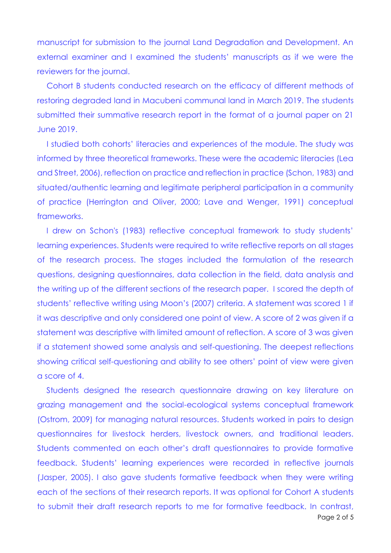manuscript for submission to the journal Land Degradation and Development. An external examiner and I examined the students' manuscripts as if we were the reviewers for the journal.

Cohort B students conducted research on the efficacy of different methods of restoring degraded land in Macubeni communal land in March 2019. The students submitted their summative research report in the format of a journal paper on 21 June 2019.

I studied both cohorts' literacies and experiences of the module. The study was informed by three theoretical frameworks. These were the academic literacies (Lea and Street, 2006), reflection on practice and reflection in practice (Schon, 1983) and situated/authentic learning and legitimate peripheral participation in a community of practice (Herrington and Oliver, 2000; Lave and Wenger, 1991) conceptual frameworks.

I drew on Schon's (1983) reflective conceptual framework to study students' learning experiences. Students were required to write reflective reports on all stages of the research process. The stages included the formulation of the research questions, designing questionnaires, data collection in the field, data analysis and the writing up of the different sections of the research paper. I scored the depth of students' reflective writing using Moon's (2007) criteria. A statement was scored 1 if it was descriptive and only considered one point of view. A score of 2 was given if a statement was descriptive with limited amount of reflection. A score of 3 was given if a statement showed some analysis and self-questioning. The deepest reflections showing critical self-questioning and ability to see others' point of view were given a score of 4.

Page 2 of 5 Students designed the research questionnaire drawing on key literature on grazing management and the social-ecological systems conceptual framework (Ostrom, 2009) for managing natural resources. Students worked in pairs to design questionnaires for livestock herders, livestock owners, and traditional leaders. Students commented on each other's draft questionnaires to provide formative feedback. Students' learning experiences were recorded in reflective journals (Jasper, 2005). I also gave students formative feedback when they were writing each of the sections of their research reports. It was optional for Cohort A students to submit their draft research reports to me for formative feedback. In contrast,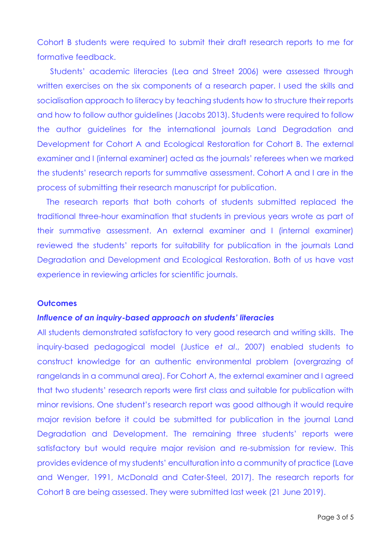Cohort B students were required to submit their draft research reports to me for formative feedback.

Students' academic literacies (Lea and Street 2006) were assessed through written exercises on the six components of a research paper. I used the skills and socialisation approach to literacy by teaching students how to structure their reports and how to follow author guidelines (Jacobs 2013). Students were required to follow the author guidelines for the international journals Land Degradation and Development for Cohort A and Ecological Restoration for Cohort B. The external examiner and I (internal examiner) acted as the journals' referees when we marked the students' research reports for summative assessment. Cohort A and I are in the process of submitting their research manuscript for publication.

The research reports that both cohorts of students submitted replaced the traditional three-hour examination that students in previous years wrote as part of their summative assessment. An external examiner and I (internal examiner) reviewed the students' reports for suitability for publication in the journals Land Degradation and Development and Ecological Restoration. Both of us have vast experience in reviewing articles for scientific journals.

### **Outcomes**

# *Influence of an inquiry-based approach on students' literacies*

All students demonstrated satisfactory to very good research and writing skills. The inquiry-based pedagogical model (Justice *et al*., 2007) enabled students to construct knowledge for an authentic environmental problem (overgrazing of rangelands in a communal area). For Cohort A, the external examiner and I agreed that two students' research reports were first class and suitable for publication with minor revisions. One student's research report was good although it would require major revision before it could be submitted for publication in the journal Land Degradation and Development. The remaining three students' reports were satisfactory but would require major revision and re-submission for review. This provides evidence of my students' enculturation into a community of practice (Lave and Wenger, 1991, McDonald and Cater-Steel, 2017). The research reports for Cohort B are being assessed. They were submitted last week (21 June 2019).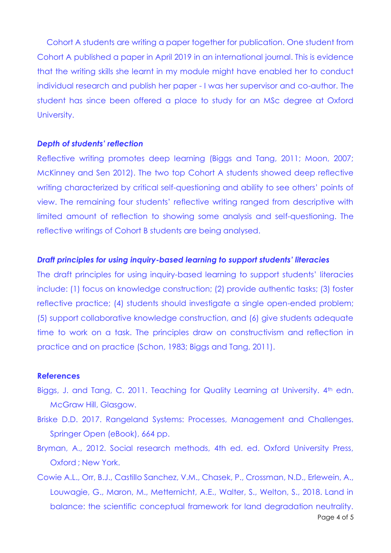Cohort A students are writing a paper together for publication. One student from Cohort A published a paper in April 2019 in an international journal. This is evidence that the writing skills she learnt in my module might have enabled her to conduct individual research and publish her paper - I was her supervisor and co-author. The student has since been offered a place to study for an MSc degree at Oxford University.

#### *Depth of students' reflection*

Reflective writing promotes deep learning (Biggs and Tang, 2011; Moon, 2007; McKinney and Sen 2012). The two top Cohort A students showed deep reflective writing characterized by critical self-questioning and ability to see others' points of view. The remaining four students' reflective writing ranged from descriptive with limited amount of reflection to showing some analysis and self-questioning. The reflective writings of Cohort B students are being analysed.

# *Draft principles for using inquiry-based learning to support students' literacies*

The draft principles for using inquiry-based learning to support students' literacies include: (1) focus on knowledge construction; (2) provide authentic tasks; (3) foster reflective practice; (4) students should investigate a single open-ended problem; (5) support collaborative knowledge construction, and (6) give students adequate time to work on a task. The principles draw on constructivism and reflection in practice and on practice (Schon, 1983; Biggs and Tang, 2011).

### **References**

- Biggs, J. and Tang, C. 2011. Teaching for Quality Learning at University. 4<sup>th</sup> edn. McGraw Hill, Glasgow.
- Briske D.D. 2017. Rangeland Systems: Processes, Management and Challenges. Springer Open (eBook), 664 pp.
- Bryman, A., 2012. Social research methods, 4th ed. ed. Oxford University Press, Oxford ; New York.
- Page 4 of 5 Cowie A.L., Orr, B.J., Castillo Sanchez, V.M., Chasek, P., Crossman, N.D., Erlewein, A., Louwagie, G., Maron, M., Metternicht, A.E., Walter, S., Welton, S., 2018. Land in balance: the scientific conceptual framework for land degradation neutrality.